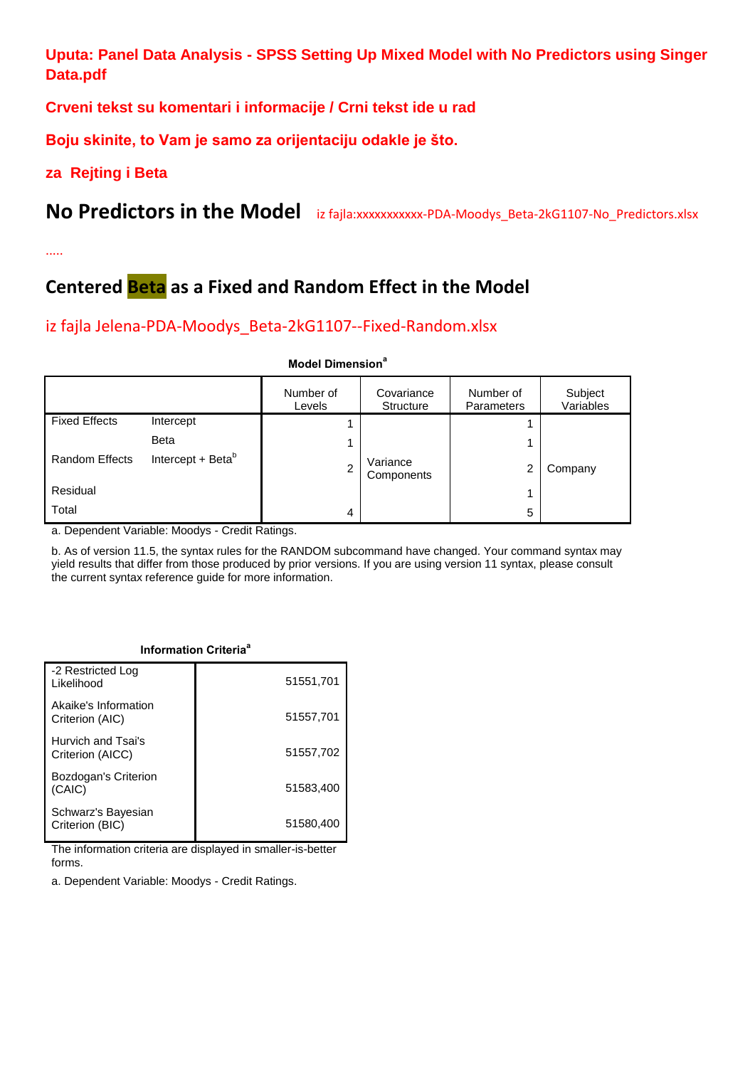**Uputa: Panel Data Analysis - SPSS Setting Up Mixed Model with No Predictors using Singer Data.pdf**

**Crveni tekst su komentari i informacije / Crni tekst ide u rad**

**Boju skinite, to Vam je samo za orijentaciju odakle je što.** 

### **za Rejting i Beta**

No Predictors in the Model iz fajla:xxxxxxxxxx-PDA-Moodys\_Beta-2kG1107-No\_Predictors.xlsx

.....

## **Centered Beta as a Fixed and Random Effect in the Model**

### iz fajla Jelena-PDA-Moodys\_Beta-2kG1107--Fixed-Random.xlsx

#### **Model Dimension<sup>a</sup>**

|                       |                               | Number of<br>Levels | Covariance<br><b>Structure</b> | Number of<br>Parameters | Subject<br>Variables |
|-----------------------|-------------------------------|---------------------|--------------------------------|-------------------------|----------------------|
| <b>Fixed Effects</b>  | Intercept                     |                     |                                |                         |                      |
|                       | <b>Beta</b>                   |                     |                                | 4                       |                      |
| <b>Random Effects</b> | Intercept + Beta <sup>b</sup> | ົ                   | Variance<br>Components         | 2                       | Company              |
| Residual              |                               |                     |                                | 1                       |                      |
| Total                 |                               | 4                   |                                | 5                       |                      |

a. Dependent Variable: Moodys - Credit Ratings.

b. As of version 11.5, the syntax rules for the RANDOM subcommand have changed. Your command syntax may yield results that differ from those produced by prior versions. If you are using version 11 syntax, please consult the current syntax reference guide for more information.

| -2 Restricted Log<br>Likelihood         | 51551,701 |
|-----------------------------------------|-----------|
| Akaike's Information<br>Criterion (AIC) | 51557,701 |
| Hurvich and Tsai's<br>Criterion (AICC)  | 51557,702 |
| Bozdogan's Criterion<br>(CAIC)          | 51583,400 |
| Schwarz's Bayesian<br>Criterion (BIC)   | 51580.400 |

**Information Criteria<sup>a</sup>**

The information criteria are displayed in smaller-is-better forms.

a. Dependent Variable: Moodys - Credit Ratings.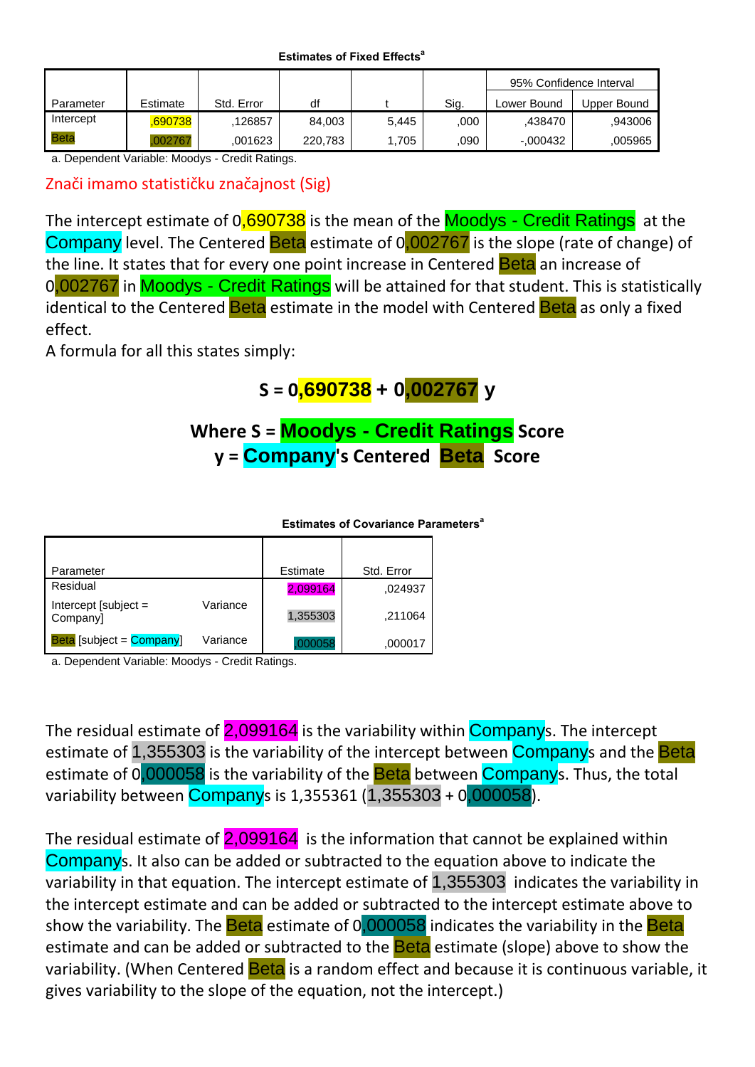**Estimates of Fixed Effects<sup>a</sup>**

|           |          |            |         |       |      | 95% Confidence Interval |             |
|-----------|----------|------------|---------|-------|------|-------------------------|-------------|
| Parameter | Estimate | Std. Error | df      |       | Sig. | Lower Bound             | Upper Bound |
| Intercept | 690738,  | 126857     | 84.003  | 5.445 | .000 | .438470                 | .943006     |
| Beta      | .002767  | .001623    | 220.783 | .705  | .090 | $-0.00432$              | ,005965     |

a. Dependent Variable: Moodys - Credit Ratings.

Znači imamo statističku značajnost (Sig)

The intercept estimate of 0,690738 is the mean of the Moodys - Credit Ratings at the Company level. The Centered Beta estimate of 0,002767 is the slope (rate of change) of the line. It states that for every one point increase in Centered Beta an increase of 0,002767 in Moodys - Credit Ratings will be attained for that student. This is statistically identical to the Centered **Beta** estimate in the model with Centered **Beta** as only a fixed effect.

A formula for all this states simply:

## **S = 0,690738 + 0,002767 y**

### **Where S = Moodys - Credit Ratings Score y = Company's Centered Beta Score**

**Estimates of Covariance Parameters<sup>a</sup>**

| Parameter                                 |          | Estimate | Std. Error |
|-------------------------------------------|----------|----------|------------|
| Residual                                  |          | 2,099164 | ,024937    |
| Intercept [subject $=$<br>Company]        | Variance | 1,355303 | .211064    |
| <b>Beta</b> [subject = $\text{Company}$ ] | Variance | 100058   | ,000017    |

a. Dependent Variable: Moodys - Credit Ratings.

The residual estimate of 2,099164 is the variability within Companys. The intercept estimate of 1,355303 is the variability of the intercept between Companys and the Beta estimate of 0,000058 is the variability of the Beta between Companys. Thus, the total variability between Companys is 1,355361 (1,355303 + 0,000058).

The residual estimate of  $2,099164$  is the information that cannot be explained within Companys. It also can be added or subtracted to the equation above to indicate the variability in that equation. The intercept estimate of 1,355303 indicates the variability in the intercept estimate and can be added or subtracted to the intercept estimate above to show the variability. The **Beta** estimate of 0,000058 indicates the variability in the **Beta** estimate and can be added or subtracted to the **Beta** estimate (slope) above to show the variability. (When Centered **Beta** is a random effect and because it is continuous variable, it gives variability to the slope of the equation, not the intercept.)